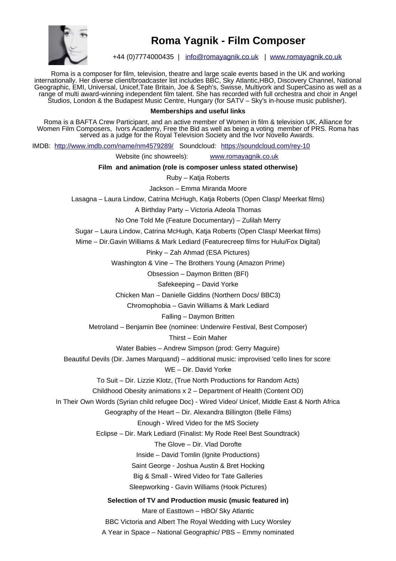

## **Roma Yagnik - Film Composer**

+44 (0)7774000435 | [info@romayagnik.co.uk](mailto:info@romayagnik.co.uk) | [www.romayagnik.co.uk](http://www.romayagnik.co.uk/)

Roma is a composer for film, television, theatre and large scale events based in the UK and working internationally. Her diverse client/broadcaster list includes BBC, Sky Atlantic,HBO, Discovery Channel, National Geographic, EMI, Universal, Unicef,Tate Britain, Joe & Seph's, Swisse, Multiyork and SuperCasino as well as a range of multi award-winning independent film talent. She has recorded with full orchestra and choir in Angel Studios, London & the Budapest Music Centre, Hungary (for SATV – Sky's in-house music publisher).

## **Memberships and useful links**

Roma is a BAFTA Crew Participant, and an active member of Women in film & television UK, Alliance for Women Film Composers, Ivors Academy, Free the Bid as well as being a voting member of PRS. Roma has served as a judge for the Royal Television Society and the Ivor Novello Awards.

IMDB: <http://www.imdb.com/name/nm4579289/>Soundcloud: <https://soundcloud.com/rey-10>

Website (inc showreels): [www.romayagnik.co.uk](http://www.romayagnik.co.uk/)

**Film and animation (role is composer unless stated otherwise)**

Ruby – Katja Roberts

Jackson – Emma Miranda Moore

Lasagna – Laura Lindow, Catrina McHugh, Katja Roberts (Open Clasp/ Meerkat films)

A Birthday Party – Victoria Adeola Thomas

No One Told Me (Feature Documentary) – Zulilah Merry

Sugar – Laura Lindow, Catrina McHugh, Katja Roberts (Open Clasp/ Meerkat films)

Mime – Dir.Gavin Williams & Mark Lediard (Featurecreep films for Hulu/Fox Digital)

Pinky – Zah Ahmad (ESA Pictures)

Washington & Vine – The Brothers Young (Amazon Prime)

Obsession – Daymon Britten (BFI)

Safekeeping – David Yorke

Chicken Man – Danielle Giddins (Northern Docs/ BBC3)

Chromophobia – Gavin Williams & Mark Lediard

Falling – Daymon Britten

Metroland – Benjamin Bee (nominee: Underwire Festival, Best Composer)

Thirst – Eoin Maher

Water Babies – Andrew Simpson (prod: Gerry Maguire)

Beautiful Devils (Dir. James Marquand) – additional music: improvised 'cello lines for score

WE – Dir. David Yorke

To Suit – Dir. Lizzie Klotz, (True North Productions for Random Acts)

Childhood Obesity animations x 2 – Department of Health (Content OD)

In Their Own Words (Syrian child refugee Doc) - Wired Video/ Unicef, Middle East & North Africa

Geography of the Heart – Dir. Alexandra Billington (Belle Films)

Enough - Wired Video for the MS Society

Eclipse – Dir. Mark Lediard (Finalist: My Rode Reel Best Soundtrack)

The Glove – Dir. Vlad Dorofte

Inside – David Tomlin (Ignite Productions)

Saint George - Joshua Austin & Bret Hocking

Big & Small - Wired Video for Tate Galleries

Sleepworking - Gavin Williams (Hook Pictures)

**Selection of TV and Production music (music featured in)**

Mare of Easttown – HBO/ Sky Atlantic

BBC Victoria and Albert The Royal Wedding with Lucy Worsley A Year in Space – National Geographic/ PBS – Emmy nominated